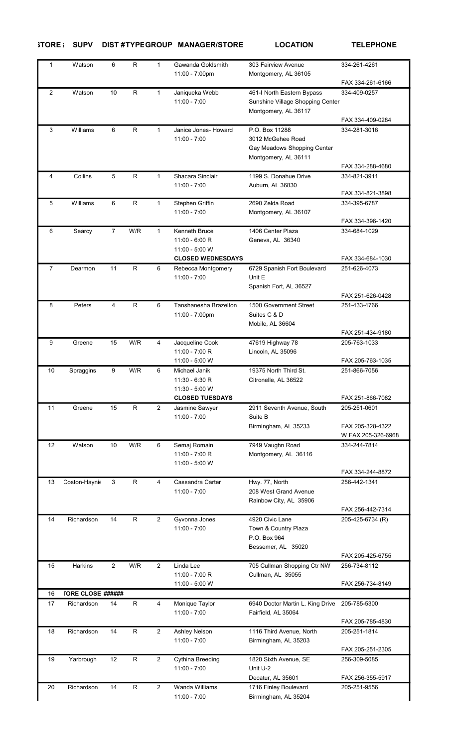## STORE : SUPV DIST#TYPEGROUP MANAGER/STORE LOCATION TELEPHONE

| $\mathbf{1}$   | Watson                   | 6              | R.           | $\mathbf{1}$   | Gawanda Goldsmith<br>11:00 - 7:00pm                                                    | 303 Fairview Avenue<br>Montgomery, AL 36105                                                | 334-261-4261                           |
|----------------|--------------------------|----------------|--------------|----------------|----------------------------------------------------------------------------------------|--------------------------------------------------------------------------------------------|----------------------------------------|
|                |                          |                |              |                |                                                                                        |                                                                                            | FAX 334-261-6166                       |
| $\overline{2}$ | Watson                   | 10             | R            | 1              | Janiqueka Webb<br>$11:00 - 7:00$                                                       | 461-I North Eastern Bypass<br>Sunshine Village Shopping Center<br>Montgomery, AL 36117     | 334-409-0257<br>FAX 334-409-0284       |
| 3              | Williams                 | 6              | $\mathsf R$  | $\mathbf{1}$   | Janice Jones- Howard<br>$11:00 - 7:00$                                                 | P.O. Box 11288<br>3012 McGehee Road<br>Gay Meadows Shopping Center<br>Montgomery, AL 36111 | 334-281-3016                           |
|                |                          |                |              |                |                                                                                        |                                                                                            | FAX 334-288-4680                       |
| 4              | Collins                  | 5              | $\mathsf{R}$ | $\mathbf{1}$   | Shacara Sinclair<br>$11:00 - 7:00$                                                     | 1199 S. Donahue Drive<br>Auburn, AL 36830                                                  | 334-821-3911<br>FAX 334-821-3898       |
| 5              | Williams                 | 6              | $\mathsf R$  | 1              | Stephen Griffin<br>$11:00 - 7:00$                                                      | 2690 Zelda Road<br>Montgomery, AL 36107                                                    | 334-395-6787<br>FAX 334-396-1420       |
| 6              | Searcy                   | $\overline{7}$ | W/R          | $\mathbf{1}$   | <b>Kenneth Bruce</b><br>$11:00 - 6:00 R$<br>11:00 - 5:00 W<br><b>CLOSED WEDNESDAYS</b> | 1406 Center Plaza<br>Geneva, AL 36340                                                      | 334-684-1029<br>FAX 334-684-1030       |
| $\overline{7}$ | Dearmon                  | 11             | R            | 6              | Rebecca Montgomery<br>$11:00 - 7:00$                                                   | 6729 Spanish Fort Boulevard<br>Unit E<br>Spanish Fort, AL 36527                            | 251-626-4073                           |
|                |                          |                |              |                |                                                                                        |                                                                                            | FAX 251-626-0428                       |
| 8              | Peters                   | 4              | $\mathsf{R}$ | 6              | Tanshanesha Brazelton<br>11:00 - 7:00pm                                                | 1500 Government Street<br>Suites C & D<br>Mobile, AL 36604                                 | 251-433-4766                           |
|                |                          |                |              |                |                                                                                        |                                                                                            | FAX 251-434-9180                       |
| 9              | Greene                   | 15             | W/R          | 4              | Jacqueline Cook<br>$11:00 - 7:00 R$<br>11:00 - 5:00 W                                  | 47619 Highway 78<br>Lincoln, AL 35096                                                      | 205-763-1033<br>FAX 205-763-1035       |
| 10             | Spraggins                | 9              | W/R          | 6              | Michael Janik<br>$11:30 - 6:30 R$<br>11:30 - 5:00 W                                    | 19375 North Third St.<br>Citronelle, AL 36522                                              | 251-866-7056                           |
|                |                          |                |              |                | <b>CLOSED TUESDAYS</b>                                                                 |                                                                                            | FAX 251-866-7082                       |
| 11             | Greene                   | 15             | R.           | 2              | Jasmine Sawyer                                                                         | 2911 Seventh Avenue, South                                                                 | 205-251-0601                           |
|                |                          |                |              |                | $11:00 - 7:00$                                                                         | Suite B<br>Birmingham, AL 35233                                                            | FAX 205-328-4322<br>W FAX 205-326-6968 |
| 12             | Watson                   | 10             | W/R          | 6              | Semaj Romain<br>11:00 - 7:00 R<br>11:00 - 5:00 W                                       | 7949 Vaughn Road<br>Montgomery, AL 36116                                                   | 334-244-7814<br>FAX 334-244-8872       |
| 13             | Coston-Haynie            | 3              | R            | 4              | Cassandra Carter                                                                       | Hwy. 77, North                                                                             | 256-442-1341                           |
|                |                          |                |              |                | $11:00 - 7:00$                                                                         | 208 West Grand Avenue<br>Rainbow City, AL 35906                                            |                                        |
|                |                          |                |              |                |                                                                                        |                                                                                            | FAX 256-442-7314                       |
| 14             | Richardson               | 14             | R.           | 2              | Gyvonna Jones<br>$11:00 - 7:00$                                                        | 4920 Civic Lane<br>Town & Country Plaza<br>P.O. Box 964<br>Bessemer, AL 35020              | 205-425-6734 (R)                       |
|                |                          |                |              |                |                                                                                        |                                                                                            | FAX 205-425-6755                       |
| 15             | <b>Harkins</b>           | 2              | W/R          | 2              | Linda Lee<br>$11:00 - 7:00 R$<br>11:00 - 5:00 W                                        | 705 Cullman Shopping Ctr NW<br>Cullman, AL 35055                                           | 256-734-8112<br>FAX 256-734-8149       |
| 16             | <b>TORE CLOSE ######</b> |                |              |                |                                                                                        |                                                                                            |                                        |
| 17             | Richardson               | 14             | R            | 4              | Monique Taylor                                                                         | 6940 Doctor Martin L. King Drive                                                           | 205-785-5300                           |
|                |                          |                |              |                | $11:00 - 7:00$                                                                         | Fairfield, AL 35064                                                                        | FAX 205-785-4830                       |
| 18             | Richardson               | 14             | $\mathsf{R}$ | $\overline{2}$ | Ashley Nelson<br>$11:00 - 7:00$                                                        | 1116 Third Avenue, North<br>Birmingham, AL 35203                                           | 205-251-1814<br>FAX 205-251-2305       |
| 19             | Yarbrough                | 12             | R.           | 2              | Cythina Breeding<br>$11:00 - 7:00$                                                     | 1820 Sixth Avenue, SE<br>Unit U-2<br>Decatur, AL 35601                                     | 256-309-5085<br>FAX 256-355-5917       |
| 20             | Richardson               | 14             | R            | $\overline{2}$ | Wanda Williams<br>$11:00 - 7:00$                                                       | 1716 Finley Boulevard<br>Birmingham, AL 35204                                              | 205-251-9556                           |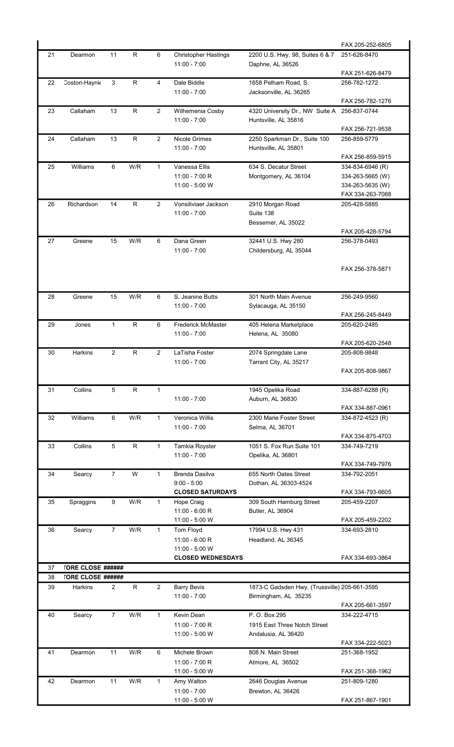|    |                          |                |              |                |                             |                                               | FAX 205-252-6805 |
|----|--------------------------|----------------|--------------|----------------|-----------------------------|-----------------------------------------------|------------------|
| 21 | Dearmon                  | 11             | R            | 6              | <b>Christopher Hastings</b> | 2200 U.S. Hwy. 98, Suites 6 & 7               | 251-626-8470     |
|    |                          |                |              |                | $11:00 - 7:00$              | Daphne, AL 36526                              |                  |
|    |                          |                |              |                |                             |                                               | FAX 251-626-8479 |
| 22 | Coston-Haynie            | 3              | R            | 4              | Dale Biddle                 | 1658 Pelham Road, S.                          | 256-782-1272     |
|    |                          |                |              |                | $11:00 - 7:00$              | Jacksonville, AL 36265                        |                  |
|    |                          |                |              |                |                             |                                               | FAX 256-782-1276 |
| 23 | Callaham                 | 13             | $\mathsf{R}$ | $\overline{2}$ | Wilhemenia Cosby            | 4320 University Dr., NW Suite A               | 256-837-0744     |
|    |                          |                |              |                | $11:00 - 7:00$              | Huntsville, AL 35816                          |                  |
|    |                          |                |              |                |                             |                                               | FAX 256-721-9538 |
| 24 | Callaham                 | 13             | R            | $\overline{2}$ | <b>Nicole Grimes</b>        | 2250 Sparkman Dr., Suite 100                  | 256-859-5779     |
|    |                          |                |              |                | $11:00 - 7:00$              | Huntsville, AL 35801                          |                  |
|    |                          |                |              |                |                             |                                               | FAX 256-859-5915 |
| 25 | Williams                 | 6              | W/R          | $\mathbf{1}$   | Vanessa Ellis               | 634 S. Decatur Street                         | 334-834-6946 (R) |
|    |                          |                |              |                | 11:00 - 7:00 R              | Montgomery, AL 36104                          | 334-263-5665 (W) |
|    |                          |                |              |                | 11:00 - 5:00 W              |                                               | 334-263-5635 (W) |
|    |                          |                |              |                |                             |                                               | FAX 334-263-7088 |
| 26 | Richardson               | 14             | $\mathsf{R}$ | $\overline{2}$ | Vonsiliviaer Jackson        | 2910 Morgan Road                              | 205-428-5885     |
|    |                          |                |              |                | $11:00 - 7:00$              | Suite 138                                     |                  |
|    |                          |                |              |                |                             | Bessemer, AL 35022                            |                  |
|    | Greene                   |                | W/R          |                | Dana Green                  |                                               | FAX 205-428-5794 |
| 27 |                          | 15             |              | 6              | $11:00 - 7:00$              | 32441 U.S. Hwy 280<br>Childersburg, AL 35044  | 256-378-0493     |
|    |                          |                |              |                |                             |                                               |                  |
|    |                          |                |              |                |                             |                                               | FAX 256-378-5871 |
|    |                          |                |              |                |                             |                                               |                  |
|    |                          |                |              |                |                             |                                               |                  |
| 28 | Greene                   | 15             | W/R          | 6              | S. Jeanine Butts            | 301 North Main Avenue                         | 256-249-9560     |
|    |                          |                |              |                | $11:00 - 7:00$              | Sylacauga, AL 35150                           |                  |
|    |                          |                |              |                |                             |                                               | FAX 256-245-8449 |
| 29 | Jones                    | $\mathbf{1}$   | $\mathsf R$  | 6              | <b>Frederick McMaster</b>   | 405 Helena Marketplace                        | 205-620-2485     |
|    |                          |                |              |                | $11:00 - 7:00$              | Helena, AL 35080                              |                  |
|    |                          |                |              |                |                             |                                               | FAX 205-620-2548 |
| 30 | Harkins                  | 2              | $\mathsf R$  | $\overline{2}$ | LaTisha Foster              | 2074 Springdale Lane                          | 205-808-9848     |
|    |                          |                |              |                | $11:00 - 7:00$              | Tarrant City, AL 35217                        |                  |
|    |                          |                |              |                |                             |                                               | FAX 205-808-9867 |
|    |                          |                |              |                |                             |                                               |                  |
| 31 | Collins                  | 5              | R.           | $\mathbf{1}$   |                             | 1945 Opelika Road                             | 334-887-6288 (R) |
|    |                          |                |              |                | $11:00 - 7:00$              | Auburn, AL 36830                              |                  |
|    |                          |                |              |                |                             |                                               | FAX 334-887-0961 |
| 32 | Williams                 | 6              | W/R          | $\mathbf 1$    | Veronica Willis             | 2300 Marie Foster Street                      | 334-872-4523 (R) |
|    |                          |                |              |                | $11:00 - 7:00$              | Selma, AL 36701                               |                  |
|    |                          |                |              |                |                             |                                               | FAX 334-875-4703 |
| 33 | Collins                  | 5              | R            | 1              | Tamkia Royster              | 1051 S. Fox Run Suite 101                     | 334-749-7219     |
|    |                          |                |              |                | $11:00 - 7:00$              | Opelika, AL 36801                             |                  |
|    |                          |                |              |                |                             |                                               | FAX 334-749-7976 |
| 34 | Searcy                   | $\overline{7}$ | W            | $\mathbf{1}$   | Brenda Dasilva              | 655 North Oates Street                        | 334-792-2051     |
|    |                          |                |              |                | $9:00 - 5:00$               | Dothan, AL 36303-4524                         |                  |
|    |                          |                |              |                | <b>CLOSED SATURDAYS</b>     |                                               | FAX 334-793-6605 |
| 35 | Spraggins                | 9              | W/R          | $\mathbf{1}$   | Hope Craig                  | 309 South Hamburg Street                      | 205-459-2207     |
|    |                          |                |              |                | $11:00 - 6:00 R$            | Butler, AL 36904                              |                  |
|    |                          |                |              |                | 11:00 - 5:00 W              |                                               | FAX 205-459-2202 |
| 36 | Searcy                   | $\overline{7}$ | W/R          | $\mathbf{1}$   | Tom Floyd                   | 17994 U.S. Hwy 431                            | 334-693-2810     |
|    |                          |                |              |                | $11:00 - 6:00 R$            | Headland, AL 36345                            |                  |
|    |                          |                |              |                | 11:00 - 5:00 W              |                                               |                  |
|    |                          |                |              |                | <b>CLOSED WEDNESDAYS</b>    |                                               | FAX 334-693-3864 |
| 37 | <b>TORE CLOSE ######</b> |                |              |                |                             |                                               |                  |
| 38 | <b>TORE CLOSE ######</b> |                |              |                |                             |                                               |                  |
| 39 | <b>Harkins</b>           | $\overline{2}$ | R            | 2              | <b>Barry Bevis</b>          | 1873-C Gadsden Hwy. (Trussville) 205-661-3595 |                  |
|    |                          |                |              |                | $11:00 - 7:00$              | Birmingham, AL 35235                          |                  |
|    |                          |                |              |                |                             |                                               | FAX 205-661-3597 |
| 40 | Searcy                   | $\overline{7}$ | W/R          | $\mathbf{1}$   | Kevin Dean                  | P. O. Box 295                                 | 334-222-4715     |
|    |                          |                |              |                | 11:00 - 7:00 R              | 1915 East Three Notch Street                  |                  |
|    |                          |                |              |                | 11:00 - 5:00 W              | Andalusia, AL 36420                           |                  |
|    |                          |                |              |                |                             |                                               | FAX 334-222-5023 |
| 41 | Dearmon                  | 11             | W/R          | 6              | Michele Brown               | 808 N. Main Street                            | 251-368-1952     |
|    |                          |                |              |                | 11:00 - 7:00 R              | Atmore, AL 36502                              |                  |
|    |                          |                |              |                | 11:00 - 5:00 W              |                                               | FAX 251-368-1962 |
| 42 | Dearmon                  | 11             | W/R          | $\mathbf{1}$   | Amy Walton                  | 2646 Douglas Avenue                           | 251-809-1280     |
|    |                          |                |              |                | $11:00 - 7:00$              | Brewton, AL 36426                             |                  |
|    |                          |                |              |                | 11:00 - 5:00 W              |                                               | FAX 251-867-1901 |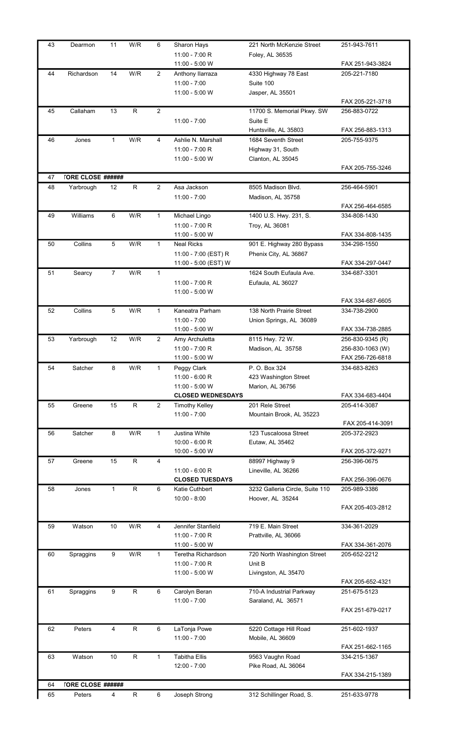| 43 | Dearmon                  | 11             | W/R          | 6              | Sharon Hays                                | 221 North McKenzie Street                           | 251-943-7611                         |
|----|--------------------------|----------------|--------------|----------------|--------------------------------------------|-----------------------------------------------------|--------------------------------------|
|    |                          |                |              |                | 11:00 - 7:00 R<br>11:00 - 5:00 W           | Foley, AL 36535                                     | FAX 251-943-3824                     |
| 44 | Richardson               | 14             | W/R          | $\overline{2}$ | Anthony Ilarraza                           | 4330 Highway 78 East                                | 205-221-7180                         |
|    |                          |                |              |                | $11:00 - 7:00$                             | Suite 100                                           |                                      |
|    |                          |                |              |                | 11:00 - 5:00 W                             | Jasper, AL 35501                                    |                                      |
| 45 | Callaham                 | 13             | $\mathsf R$  | 2              |                                            | 11700 S. Memorial Pkwy. SW                          | FAX 205-221-3718<br>256-883-0722     |
|    |                          |                |              |                | $11:00 - 7:00$                             | Suite E                                             |                                      |
|    |                          |                |              |                |                                            | Huntsville, AL 35803                                | FAX 256-883-1313                     |
| 46 | Jones                    | $\mathbf{1}$   | W/R          | 4              | Ashlie N. Marshall                         | 1684 Seventh Street                                 | 205-755-9375                         |
|    |                          |                |              |                | 11:00 - 7:00 R                             | Highway 31, South                                   |                                      |
|    |                          |                |              |                | 11:00 - 5:00 W                             | Clanton, AL 35045                                   | FAX 205-755-3246                     |
| 47 | <b>TORE CLOSE ######</b> |                |              |                |                                            |                                                     |                                      |
| 48 | Yarbrough                | 12             | $\mathsf{R}$ | $\overline{2}$ | Asa Jackson                                | 8505 Madison Blvd.                                  | 256-464-5901                         |
|    |                          |                |              |                | $11:00 - 7:00$                             | Madison, AL 35758                                   |                                      |
|    |                          |                |              |                |                                            |                                                     | FAX 256-464-6585                     |
| 49 | Williams                 | 6              | W/R          | $\mathbf{1}$   | Michael Lingo<br>$11:00 - 7:00 R$          | 1400 U.S. Hwy. 231, S.                              | 334-808-1430                         |
|    |                          |                |              |                | 11:00 - 5:00 W                             | Troy, AL 36081                                      | FAX 334-808-1435                     |
| 50 | Collins                  | 5              | W/R          | $\mathbf{1}$   | <b>Neal Ricks</b>                          | 901 E. Highway 280 Bypass                           | 334-298-1550                         |
|    |                          |                |              |                | 11:00 - 7:00 (EST) R                       | Phenix City, AL 36867                               |                                      |
|    |                          |                |              |                | 11:00 - 5:00 (EST) W                       |                                                     | FAX 334-297-0447                     |
| 51 | Searcy                   | $\overline{7}$ | W/R          | $\mathbf{1}$   |                                            | 1624 South Eufaula Ave.                             | 334-687-3301                         |
|    |                          |                |              |                | 11:00 - 7:00 R<br>11:00 - 5:00 W           | Eufaula, AL 36027                                   |                                      |
|    |                          |                |              |                |                                            |                                                     | FAX 334-687-6605                     |
| 52 | Collins                  | 5              | W/R          | $\mathbf{1}$   | Kaneatra Parham                            | 138 North Prairie Street                            | 334-738-2900                         |
|    |                          |                |              |                | $11:00 - 7:00$                             | Union Springs, AL 36089                             |                                      |
|    |                          |                |              |                | 11:00 - 5:00 W                             |                                                     | FAX 334-738-2885                     |
| 53 | Yarbrough                | 12             | W/R          | 2              | Amy Archuletta<br>11:00 - 7:00 R           | 8115 Hwy. 72 W.<br>Madison, AL 35758                | 256-830-9345 (R)<br>256-830-1063 (W) |
|    |                          |                |              |                | 11:00 - 5:00 W                             |                                                     | FAX 256-726-6818                     |
| 54 | Satcher                  | 8              | W/R          | 1              | Peggy Clark                                | P. O. Box 324                                       | 334-683-8263                         |
|    |                          |                |              |                | 11:00 - 6:00 R                             | 423 Washington Street                               |                                      |
|    |                          |                |              |                | 11:00 - 5:00 W<br><b>CLOSED WEDNESDAYS</b> | Marion, AL 36756                                    | FAX 334-683-4404                     |
| 55 | Greene                   | 15             | $\mathsf R$  | $\overline{2}$ | <b>Timothy Kelley</b>                      | 201 Rele Street                                     | 205-414-3087                         |
|    |                          |                |              |                | $11:00 - 7:00$                             | Mountain Brook, AL 35223                            |                                      |
|    |                          |                |              |                |                                            |                                                     | FAX 205-414-3091                     |
| 56 | Satcher                  | 8              | W/R          | $\mathbf{1}$   | Justina White<br>$10:00 - 6:00 R$          | 123 Tuscaloosa Street<br>Eutaw, AL 35462            | 205-372-2923                         |
|    |                          |                |              |                | 10:00 - 5:00 W                             |                                                     | FAX 205-372-9271                     |
| 57 | Greene                   | 15             | R            | 4              |                                            | 88997 Highway 9                                     | 256-396-0675                         |
|    |                          |                |              |                | 11:00 - 6:00 R                             | Lineville, AL 36266                                 |                                      |
|    |                          |                |              |                | <b>CLOSED TUESDAYS</b>                     |                                                     | FAX 256-396-0676                     |
| 58 | Jones                    | 1              | $\mathsf{R}$ | 6              | Katie Cuthbert<br>$10:00 - 8:00$           | 3232 Galleria Circle, Suite 110<br>Hoover, AL 35244 | 205-989-3386                         |
|    |                          |                |              |                |                                            |                                                     | FAX 205-403-2812                     |
|    |                          |                |              |                |                                            |                                                     |                                      |
| 59 | Watson                   | 10             | W/R          | 4              | Jennifer Stanfield                         | 719 E. Main Street                                  | 334-361-2029                         |
|    |                          |                |              |                | 11:00 - 7:00 R<br>11:00 - 5:00 W           | Prattville, AL 36066                                | FAX 334-361-2076                     |
| 60 | Spraggins                | 9              | W/R          | $\mathbf{1}$   | Teretha Richardson                         | 720 North Washington Street                         | 205-652-2212                         |
|    |                          |                |              |                | 11:00 - 7:00 R                             | Unit B                                              |                                      |
|    |                          |                |              |                | 11:00 - 5:00 W                             | Livingston, AL 35470                                |                                      |
|    |                          |                |              |                |                                            |                                                     | FAX 205-652-4321                     |
| 61 | Spraggins                | 9              | R            | 6              | Carolyn Beran<br>$11:00 - 7:00$            | 710-A Industrial Parkway<br>Saraland, AL 36571      | 251-675-5123                         |
|    |                          |                |              |                |                                            |                                                     | FAX 251-679-0217                     |
|    |                          |                |              |                |                                            |                                                     |                                      |
| 62 | Peters                   | 4              | $\mathsf R$  | 6              | LaTonja Powe                               | 5220 Cottage Hill Road                              | 251-602-1937                         |
|    |                          |                |              |                | $11:00 - 7:00$                             | Mobile, AL 36609                                    | FAX 251-662-1165                     |
| 63 | Watson                   | 10             | R            | $\mathbf{1}$   | <b>Tabitha Ellis</b>                       | 9563 Vaughn Road                                    | 334-215-1367                         |
|    |                          |                |              |                | $12:00 - 7:00$                             | Pike Road, AL 36064                                 |                                      |
|    |                          |                |              |                |                                            |                                                     | FAX 334-215-1389                     |
| 64 | <b>TORE CLOSE ######</b> |                |              |                |                                            |                                                     |                                      |
| 65 | Peters                   | 4              | $\mathsf{R}$ | 6              | Joseph Strong                              | 312 Schillinger Road, S.                            | 251-633-9778                         |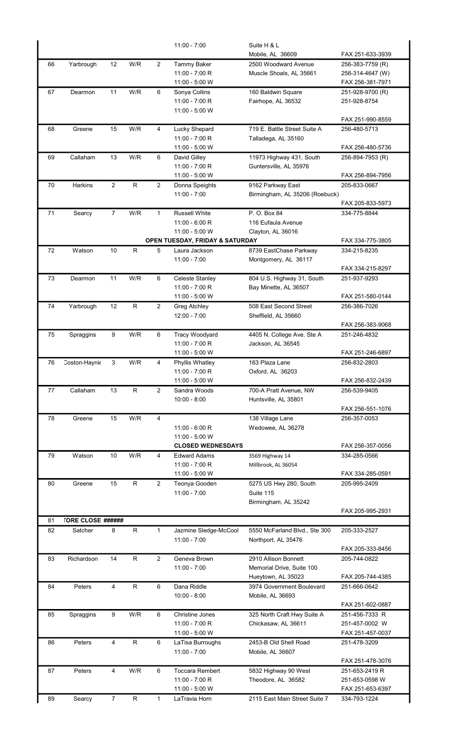|    |                          |                |              |                | $11:00 - 7:00$                             | Suite H & L                                         |                                  |
|----|--------------------------|----------------|--------------|----------------|--------------------------------------------|-----------------------------------------------------|----------------------------------|
|    |                          |                |              |                |                                            | Mobile, AL 36609                                    | FAX 251-633-3939                 |
| 66 | Yarbrough                | 12             | W/R          | $\overline{2}$ | <b>Tammy Baker</b>                         | 2500 Woodward Avenue                                | 256-383-7759 (R)                 |
|    |                          |                |              |                | 11:00 - 7:00 R                             | Muscle Shoals, AL 35661                             | 256-314-4647 (W)                 |
|    |                          |                |              |                | 11:00 - 5:00 W                             |                                                     | FAX 256-381-7971                 |
| 67 | Dearmon                  | 11             | W/R          | 6              | Sonya Collins<br>11:00 - 7:00 R            | 160 Baldwin Square<br>Fairhope, AL 36532            | 251-928-9700 (R)<br>251-928-8754 |
|    |                          |                |              |                | 11:00 - 5:00 W                             |                                                     |                                  |
|    |                          |                |              |                |                                            |                                                     | FAX 251-990-8559                 |
| 68 | Greene                   | 15             | W/R          | 4              | Lucky Shepard                              | 719 E. Battle Street Suite A                        | 256-480-5713                     |
|    |                          |                |              |                | 11:00 - 7:00 R                             | Talladega, AL 35160                                 |                                  |
|    |                          |                |              |                | 11:00 - 5:00 W                             |                                                     | FAX 256-480-5736                 |
| 69 | Callaham                 | 13             | W/R          | 6              | David Gilley                               | 11973 Highway 431, South                            | 256-894-7953 (R)                 |
|    |                          |                |              |                | 11:00 - 7:00 R                             | Guntersville, AL 35976                              |                                  |
|    |                          |                |              |                | 11:00 - 5:00 W                             |                                                     | FAX 256-894-7956                 |
| 70 | Harkins                  | $\overline{c}$ | ${\sf R}$    | $\overline{2}$ | Donna Speights<br>$11:00 - 7:00$           | 9162 Parkway East<br>Birmingham, AL 35206 (Roebuck) | 205-833-0667                     |
|    |                          |                |              |                |                                            |                                                     | FAX 205-833-5973                 |
| 71 | Searcy                   | $\overline{7}$ | W/R          | $\mathbf{1}$   | Russell White                              | P. O. Box 84                                        | 334-775-8844                     |
|    |                          |                |              |                | $11:00 - 6:00 R$                           | 116 Eufaula Avenue                                  |                                  |
|    |                          |                |              |                | 11:00 - 5:00 W                             | Clayton, AL 36016                                   |                                  |
|    |                          |                |              |                | OPEN TUESDAY, FRIDAY & SATURDAY            |                                                     | FAX 334-775-3805                 |
| 72 | Watson                   | 10             | R            | 5              | Laura Jackson                              | 8739 EastChase Parkway                              | 334-215-8235                     |
|    |                          |                |              |                | $11:00 - 7:00$                             | Montgomery, AL 36117                                |                                  |
|    |                          |                |              |                |                                            |                                                     | FAX 334-215-8297                 |
| 73 | Dearmon                  | 11             | W/R          | 6              | Celeste Stanley<br>11:00 - 7:00 R          | 804 U.S. Highway 31, South<br>Bay Minette, AL 36507 | 251-937-9293                     |
|    |                          |                |              |                | 11:00 - 5:00 W                             |                                                     | FAX 251-580-0144                 |
| 74 | Yarbrough                | 12             | ${\sf R}$    | $\overline{2}$ | Greg Atchley                               | 508 East Second Street                              | 256-386-7026                     |
|    |                          |                |              |                | $12:00 - 7:00$                             | Sheffield, AL 35660                                 |                                  |
|    |                          |                |              |                |                                            |                                                     | FAX 256-383-9068                 |
| 75 | Spraggins                | 9              | W/R          | 6              | Tracy Woodyard                             | 4405 N. College Ave. Ste A                          | 251-246-4832                     |
|    |                          |                |              |                | 11:00 - 7:00 R                             | Jackson, AL 36545                                   |                                  |
|    |                          |                |              |                | 11:00 - 5:00 W                             |                                                     | FAX 251-246-6897                 |
| 76 | Coston-Haynie            | 3              | W/R          | 4              | Phyllis Whatley<br>11:00 - 7:00 R          | 163 Plaza Lane                                      | 256-832-2803                     |
|    |                          |                |              |                | 11:00 - 5:00 W                             | Oxford, AL 36203                                    | FAX 256-832-2439                 |
| 77 | Callaham                 | 13             | R            | $\overline{2}$ | Sandra Woods                               | 700-A Pratt Avenue, NW                              | 256-539-9405                     |
|    |                          |                |              |                | $10:00 - 8:00$                             | Huntsville, AL 35801                                |                                  |
|    |                          |                |              |                |                                            |                                                     | FAX 256-551-1076                 |
| 78 | Greene                   | 15             | W/R          | 4              |                                            | 138 Village Lane                                    | 256-357-0053                     |
|    |                          |                |              |                | $11:00 - 6:00 R$                           | Wedowee, AL 36278                                   |                                  |
|    |                          |                |              |                | 11:00 - 5:00 W<br><b>CLOSED WEDNESDAYS</b> |                                                     |                                  |
| 79 | Watson                   | 10             | W/R          | 4              | <b>Edward Adams</b>                        | 3569 Highway 14                                     | FAX 256-357-0056<br>334-285-0566 |
|    |                          |                |              |                | 11:00 - 7:00 R                             | Millbrook, AL 36054                                 |                                  |
|    |                          |                |              |                | 11:00 - 5:00 W                             |                                                     | FAX 334-285-0591                 |
| 80 | Greene                   | 15             | R            | $\overline{2}$ | Teonya Gooden                              | 5275 US Hwy 280, South                              | 205-995-2409                     |
|    |                          |                |              |                | $11:00 - 7:00$                             | Suite 115                                           |                                  |
|    |                          |                |              |                |                                            | Birmingham, AL 35242                                |                                  |
|    |                          |                |              |                |                                            |                                                     | FAX 205-995-2931                 |
| 81 | <b>TORE CLOSE ######</b> |                |              |                |                                            |                                                     |                                  |
| 82 | Satcher                  | 8              | R            | $\mathbf{1}$   | Jazmine Sledge-McCool<br>$11:00 - 7:00$    | 5550 McFarland Blvd., Ste 300                       | 205-333-2527                     |
|    |                          |                |              |                |                                            | Northport, AL 35476                                 | FAX 205-333-8456                 |
| 83 | Richardson               | 14             | ${\sf R}$    | 2              | Geneva Brown                               | 2910 Allison Bonnett                                | 205-744-0822                     |
|    |                          |                |              |                | $11:00 - 7:00$                             | Memorial Drive, Suite 100                           |                                  |
|    |                          |                |              |                |                                            | Hueytown, AL 35023                                  | FAX 205-744-4385                 |
| 84 | Peters                   | $\overline{4}$ | $\mathsf R$  | 6              | Dana Riddle                                | 3974 Government Boulevard                           | 251-666-0642                     |
|    |                          |                |              |                | $10:00 - 8:00$                             | Mobile, AL 36693                                    |                                  |
|    |                          |                |              |                |                                            |                                                     | FAX 251-602-0887                 |
| 85 | Spraggins                | 9              | W/R          | 6              | <b>Christine Jones</b>                     | 325 North Craft Hwy Suite A                         | 251-456-7333 R                   |
|    |                          |                |              |                | 11:00 - 7:00 R                             | Chickasaw, AL 36611                                 | 251-457-0002 W                   |
| 86 | Peters                   | 4              | $\mathsf R$  | 6              | 11:00 - 5:00 W<br>LaTisa Burroughs         | 2453-B Old Shell Road                               | FAX 251-457-0037<br>251-478-3209 |
|    |                          |                |              |                | $11:00 - 7:00$                             | Mobile, AL 36607                                    |                                  |
|    |                          |                |              |                |                                            |                                                     | FAX 251-478-3076                 |
| 87 | Peters                   | 4              | W/R          | 6              | <b>Toccara Rembert</b>                     | 5832 Highway 90 West                                | 251-653-2419 R                   |
|    |                          |                |              |                | 11:00 - 7:00 R                             | Theodore, AL 36582                                  | 251-653-0598 W                   |
|    |                          |                |              |                | 11:00 - 5:00 W                             |                                                     | FAX 251-653-6397                 |
| 89 | Searcy                   | 7              | $\mathsf{R}$ | 1              | LaTravia Horn                              | 2115 East Main Street Suite 7                       | 334-793-1224                     |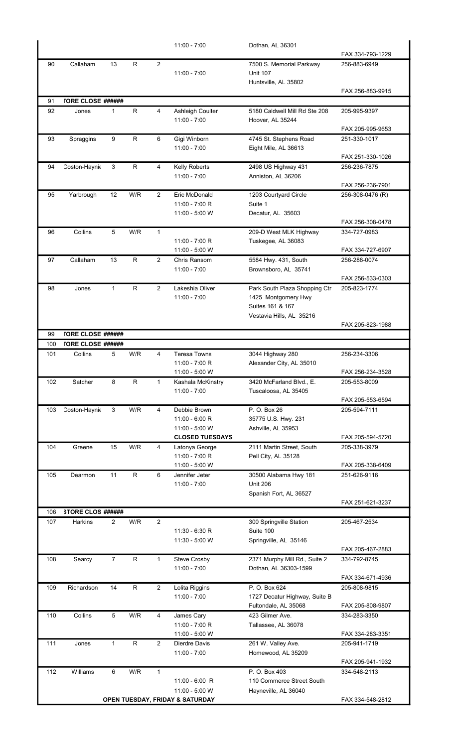|     |                          |                |              |                | $11:00 - 7:00$                      | Dothan, AL 36301                            |                                  |
|-----|--------------------------|----------------|--------------|----------------|-------------------------------------|---------------------------------------------|----------------------------------|
|     |                          |                |              |                |                                     |                                             | FAX 334-793-1229                 |
| 90  | Callaham                 | 13             | R            | 2              | $11:00 - 7:00$                      | 7500 S. Memorial Parkway<br><b>Unit 107</b> | 256-883-6949                     |
|     |                          |                |              |                |                                     | Huntsville, AL 35802                        |                                  |
|     |                          |                |              |                |                                     |                                             | FAX 256-883-9915                 |
| 91  | <b>TORE CLOSE ######</b> |                |              |                |                                     |                                             |                                  |
| 92  | Jones                    | $\mathbf{1}$   | $\mathsf{R}$ | $\overline{4}$ | Ashleigh Coulter                    | 5180 Caldwell Mill Rd Ste 208               | 205-995-9397                     |
|     |                          |                |              |                | $11:00 - 7:00$                      | Hoover, AL 35244                            |                                  |
|     |                          |                |              |                |                                     |                                             | FAX 205-995-9653                 |
| 93  | Spraggins                | 9              | $\mathsf{R}$ | 6              | Gigi Winborn                        | 4745 St. Stephens Road                      | 251-330-1017                     |
|     |                          |                |              |                | $11:00 - 7:00$                      | Eight Mile, AL 36613                        |                                  |
|     |                          |                |              |                |                                     |                                             | FAX 251-330-1026                 |
| 94  | Coston-Haynie            | 3              | R            | 4              | Kelly Roberts                       | 2498 US Highway 431                         | 256-236-7875                     |
|     |                          |                |              |                | $11:00 - 7:00$                      | Anniston, AL 36206                          | FAX 256-236-7901                 |
| 95  | Yarbrough                | 12             | W/R          | $\overline{2}$ | Eric McDonald                       | 1203 Courtyard Circle                       | 256-308-0476 (R)                 |
|     |                          |                |              |                | 11:00 - 7:00 R                      | Suite 1                                     |                                  |
|     |                          |                |              |                | 11:00 - 5:00 W                      | Decatur, AL 35603                           |                                  |
|     |                          |                |              |                |                                     |                                             | FAX 256-308-0478                 |
| 96  | Collins                  | 5              | W/R          | $\mathbf{1}$   |                                     | 209-D West MLK Highway                      | 334-727-0983                     |
|     |                          |                |              |                | $11:00 - 7:00 R$                    | Tuskegee, AL 36083                          |                                  |
|     |                          |                |              |                | 11:00 - 5:00 W                      |                                             | FAX 334-727-6907                 |
| 97  | Callaham                 | 13             | R            | $\overline{2}$ | Chris Ransom                        | 5584 Hwy. 431, South                        | 256-288-0074                     |
|     |                          |                |              |                | $11:00 - 7:00$                      | Brownsboro, AL 35741                        |                                  |
| 98  | Jones                    | $\mathbf{1}$   | $\mathsf R$  | $\overline{2}$ | Lakeshia Oliver                     | Park South Plaza Shopping Ctr               | FAX 256-533-0303<br>205-823-1774 |
|     |                          |                |              |                | $11:00 - 7:00$                      | 1425 Montgomery Hwy                         |                                  |
|     |                          |                |              |                |                                     | Suites 161 & 167                            |                                  |
|     |                          |                |              |                |                                     | Vestavia Hills, AL 35216                    |                                  |
|     |                          |                |              |                |                                     |                                             | FAX 205-823-1988                 |
| 99  | <b>TORE CLOSE ######</b> |                |              |                |                                     |                                             |                                  |
| 100 | <b>TORE CLOSE ######</b> |                |              |                |                                     |                                             |                                  |
| 101 | Collins                  | 5              | W/R          | 4              | <b>Teresa Towns</b>                 | 3044 Highway 280                            | 256-234-3306                     |
|     |                          |                |              |                | 11:00 - 7:00 R                      | Alexander City, AL 35010                    |                                  |
| 102 | Satcher                  | 8              | $\mathsf R$  | 1              | 11:00 - 5:00 W<br>Kashala McKinstry | 3420 McFarland Blvd., E.                    | FAX 256-234-3528<br>205-553-8009 |
|     |                          |                |              |                | $11:00 - 7:00$                      | Tuscaloosa, AL 35405                        |                                  |
|     |                          |                |              |                |                                     |                                             | FAX 205-553-6594                 |
| 103 | Coston-Haynie            | 3              | W/R          | 4              | Debbie Brown                        | P. O. Box 26                                | 205-594-7111                     |
|     |                          |                |              |                | 11:00 - 6:00 R                      | 35775 U.S. Hwy. 231                         |                                  |
|     |                          |                |              |                | 11:00 - 5:00 W                      | Ashville, AL 35953                          |                                  |
|     |                          |                |              |                | <b>CLOSED TUESDAYS</b>              |                                             | FAX 205-594-5720                 |
| 104 | Greene                   | 15             | W/R          | 4              | Latonya George                      | 2111 Martin Street, South                   | 205-338-3979                     |
|     |                          |                |              |                | 11:00 - 7:00 R<br>11:00 - 5:00 W    | Pell City, AL 35128                         | FAX 205-338-6409                 |
| 105 | Dearmon                  | 11             | $\mathsf R$  | 6              | Jennifer Jeter                      | 30500 Alabama Hwy 181                       | 251-626-9116                     |
|     |                          |                |              |                | $11:00 - 7:00$                      | <b>Unit 206</b>                             |                                  |
|     |                          |                |              |                |                                     | Spanish Fort, AL 36527                      |                                  |
|     |                          |                |              |                |                                     |                                             | FAX 251-621-3237                 |
| 106 | <b>STORE CLOS ######</b> |                |              |                |                                     |                                             |                                  |
| 107 | Harkins                  | $\overline{2}$ | W/R          | $\overline{2}$ |                                     | 300 Springville Station                     | 205-467-2534                     |
|     |                          |                |              |                | 11:30 - 6:30 R                      | Suite 100                                   |                                  |
|     |                          |                |              |                | 11:30 - 5:00 W                      | Springville, AL 35146                       | FAX 205-467-2883                 |
| 108 |                          | $\overline{7}$ | $\mathsf{R}$ | $\mathbf{1}$   | <b>Steve Crosby</b>                 | 2371 Murphy Mill Rd., Suite 2               | 334-792-8745                     |
|     | Searcy                   |                |              |                | $11:00 - 7:00$                      | Dothan, AL 36303-1599                       |                                  |
|     |                          |                |              |                |                                     |                                             | FAX 334-671-4936                 |
| 109 | Richardson               | 14             | R            | $\overline{2}$ | Lolita Riggins                      | P. O. Box 624                               | 205-808-9815                     |
|     |                          |                |              |                | $11:00 - 7:00$                      | 1727 Decatur Highway, Suite B               |                                  |
|     |                          |                |              |                |                                     | Fultondale, AL 35068                        | FAX 205-808-9807                 |
| 110 | Collins                  | 5              | W/R          | 4              | James Cary                          | 423 Gilmer Ave.                             | 334-283-3350                     |
|     |                          |                |              |                | 11:00 - 7:00 R                      | Tallassee, AL 36078                         |                                  |
|     |                          |                |              |                | 11:00 - 5:00 W                      |                                             | FAX 334-283-3351                 |
| 111 | Jones                    | 1              | R.           | $\overline{2}$ | Dierdre Davis                       | 261 W. Valley Ave.                          | 205-941-1719                     |
|     |                          |                |              |                | $11:00 - 7:00$                      | Homewood, AL 35209                          | FAX 205-941-1932                 |
| 112 | Williams                 | 6              | W/R          | $\mathbf{1}$   |                                     | P. O. Box 403                               | 334-548-2113                     |
|     |                          |                |              |                | $11:00 - 6:00$ R                    | 110 Commerce Street South                   |                                  |
|     |                          |                |              |                | 11:00 - 5:00 W                      | Hayneville, AL 36040                        |                                  |
|     |                          |                |              |                | OPEN TUESDAY, FRIDAY & SATURDAY     |                                             | FAX 334-548-2812                 |
|     |                          |                |              |                |                                     |                                             |                                  |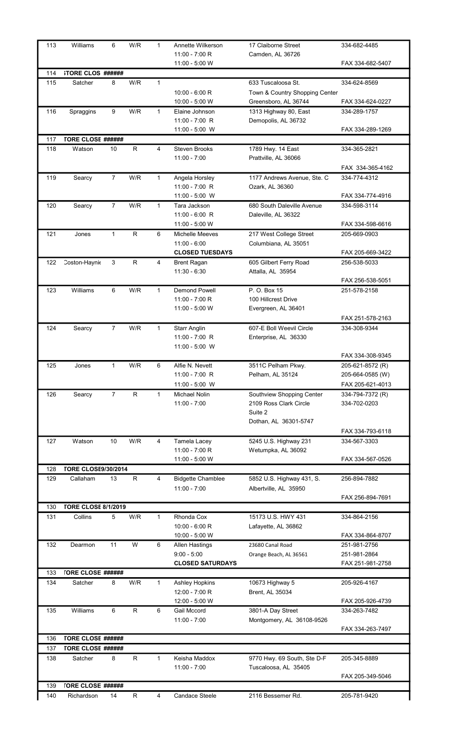| 113 | Williams                   | 6              | W/R          | $\mathbf{1}$   | Annette Wilkerson                      | 17 Claiborne Street                       | 334-682-4485     |
|-----|----------------------------|----------------|--------------|----------------|----------------------------------------|-------------------------------------------|------------------|
|     |                            |                |              |                | 11:00 - 7:00 R                         | Camden, AL 36726                          |                  |
|     |                            |                |              |                | 11:00 - 5:00 W                         |                                           | FAX 334-682-5407 |
| 114 | <b>STORE CLOS ######</b>   |                |              |                |                                        |                                           |                  |
| 115 | Satcher                    | 8              | W/R          | $\mathbf{1}$   |                                        | 633 Tuscaloosa St.                        | 334-624-8569     |
|     |                            |                |              |                | $10:00 - 6:00 R$                       | Town & Country Shopping Center            |                  |
|     |                            |                |              |                | 10:00 - 5:00 W                         | Greensboro, AL 36744                      | FAX 334-624-0227 |
| 116 | Spraggins                  | 9              | W/R          | $\mathbf{1}$   | Elaine Johnson                         | 1313 Highway 80, East                     | 334-289-1757     |
|     |                            |                |              |                | 11:00 - 7:00 R                         | Demopolis, AL 36732                       |                  |
|     | <b>TORE CLOSE ######</b>   |                |              |                | 11:00 - 5:00 W                         |                                           | FAX 334-289-1269 |
| 117 |                            |                |              |                |                                        |                                           |                  |
| 118 | Watson                     | 10             | $\mathsf R$  | $\overline{4}$ | <b>Steven Brooks</b><br>$11:00 - 7:00$ | 1789 Hwy. 14 East<br>Prattville, AL 36066 | 334-365-2821     |
|     |                            |                |              |                |                                        |                                           | FAX 334-365-4162 |
| 119 | Searcy                     | 7              | W/R          | $\mathbf{1}$   | Angela Horsley                         | 1177 Andrews Avenue, Ste. C               | 334-774-4312     |
|     |                            |                |              |                | 11:00 - 7:00 R                         | Ozark, AL 36360                           |                  |
|     |                            |                |              |                | 11:00 - 5:00 W                         |                                           | FAX 334-774-4916 |
| 120 | Searcy                     | $\overline{7}$ | W/R          | $\mathbf{1}$   | Tara Jackson                           | 680 South Daleville Avenue                | 334-598-3114     |
|     |                            |                |              |                | $11:00 - 6:00$ R                       | Daleville, AL 36322                       |                  |
|     |                            |                |              |                | 11:00 - 5:00 W                         |                                           | FAX 334-598-6616 |
| 121 | Jones                      | $\mathbf{1}$   | $\mathsf R$  | 6              | Michelle Meeves                        | 217 West College Street                   | 205-669-0903     |
|     |                            |                |              |                | $11:00 - 6:00$                         | Columbiana, AL 35051                      |                  |
|     |                            |                |              |                | <b>CLOSED TUESDAYS</b>                 |                                           | FAX 205-669-3422 |
| 122 | Coston-Haynie              | 3              | $\mathsf{R}$ | 4              | <b>Brent Ragan</b>                     | 605 Gilbert Ferry Road                    | 256-538-5033     |
|     |                            |                |              |                | $11:30 - 6:30$                         | Attalla, AL 35954                         |                  |
|     |                            |                |              |                |                                        |                                           | FAX 256-538-5051 |
| 123 | Williams                   | 6              | W/R          | $\mathbf{1}$   | <b>Demond Powell</b>                   | P. O. Box 15                              | 251-578-2158     |
|     |                            |                |              |                | 11:00 - 7:00 R                         | 100 Hillcrest Drive                       |                  |
|     |                            |                |              |                | 11:00 - 5:00 W                         | Evergreen, AL 36401                       |                  |
|     |                            |                |              |                |                                        |                                           | FAX 251-578-2163 |
| 124 | Searcy                     | $\overline{7}$ | W/R          | $\mathbf{1}$   | <b>Starr Anglin</b>                    | 607-E Boll Weevil Circle                  | 334-308-9344     |
|     |                            |                |              |                | 11:00 - 7:00 R                         | Enterprise, AL 36330                      |                  |
|     |                            |                |              |                | 11:00 - 5:00 W                         |                                           |                  |
|     |                            |                |              |                |                                        |                                           | FAX 334-308-9345 |
| 125 | Jones                      | 1              | W/R          | 6              | Alfie N. Nevett                        | 3511C Pelham Pkwy.                        | 205-621-8572 (R) |
|     |                            |                |              |                | 11:00 - 7:00 R                         | Pelham, AL 35124                          | 205-664-0585 (W) |
|     |                            |                |              |                | 11:00 - 5:00 W                         |                                           | FAX 205-621-4013 |
| 126 | Searcy                     | $\overline{7}$ | R            | $\mathbf{1}$   | Michael Nolin                          | Southview Shopping Center                 | 334-794-7372 (R) |
|     |                            |                |              |                | $11:00 - 7:00$                         | 2109 Ross Clark Circle                    | 334-702-0203     |
|     |                            |                |              |                |                                        | Suite 2                                   |                  |
|     |                            |                |              |                |                                        | Dothan, AL 36301-5747                     |                  |
|     |                            |                |              |                |                                        |                                           | FAX 334-793-6118 |
| 127 | Watson                     | 10             | W/R          | 4              | Tamela Lacey                           | 5245 U.S. Highway 231                     | 334-567-3303     |
|     |                            |                |              |                | 11:00 - 7:00 R                         | Wetumpka, AL 36092                        |                  |
|     |                            |                |              |                | 11:00 - 5:00 W                         |                                           | FAX 334-567-0526 |
| 128 | <b>TORE CLOSE9/30/2014</b> |                |              |                |                                        |                                           |                  |
| 129 | Callaham                   | 13             | $\mathsf R$  | 4              | <b>Bidgette Chamblee</b>               | 5852 U.S. Highway 431, S.                 | 256-894-7882     |
|     |                            |                |              |                | $11:00 - 7:00$                         | Albertville, AL 35950                     |                  |
|     |                            |                |              |                |                                        |                                           | FAX 256-894-7691 |
| 130 | <b>TORE CLOSE 8/1/2019</b> |                |              |                |                                        |                                           |                  |
| 131 | Collins                    | 5              | W/R          | $\mathbf{1}$   | Rhonda Cox                             | 15173 U.S. HWY 431                        | 334-864-2156     |
|     |                            |                |              |                | $10:00 - 6:00 R$                       | Lafayette, AL 36862                       |                  |
|     |                            |                |              |                | 10:00 - 5:00 W                         |                                           | FAX 334-864-8707 |
| 132 | Dearmon                    | 11             | W            | 6              | <b>Allen Hastings</b>                  | 23680 Canal Road                          | 251-981-2756     |
|     |                            |                |              |                | $9:00 - 5:00$                          | Orange Beach, AL 36561                    | 251-981-2864     |
|     |                            |                |              |                | <b>CLOSED SATURDAYS</b>                |                                           | FAX 251-981-2758 |
| 133 | <b>TORE CLOSE ######</b>   |                |              |                |                                        |                                           |                  |
| 134 | Satcher                    | 8              | W/R          | $\mathbf{1}$   | <b>Ashley Hopkins</b>                  | 10673 Highway 5                           | 205-926-4167     |
|     |                            |                |              |                | 12:00 - 7:00 R                         | Brent, AL 35034                           |                  |
|     |                            |                |              |                | 12:00 - 5:00 W                         |                                           | FAX 205-926-4739 |
| 135 | Williams                   | 6              | $\mathsf R$  | 6              | <b>Gail Mccord</b>                     | 3801-A Day Street                         | 334-263-7482     |
|     |                            |                |              |                | $11:00 - 7:00$                         | Montgomery, AL 36108-9526                 |                  |
|     |                            |                |              |                |                                        |                                           | FAX 334-263-7497 |
| 136 | <b>TORE CLOSE ######</b>   |                |              |                |                                        |                                           |                  |
| 137 | <b>TORE CLOSE ######</b>   |                |              |                |                                        |                                           |                  |
| 138 | Satcher                    | 8              | R            | $\mathbf{1}$   | Keisha Maddox                          | 9770 Hwy. 69 South, Ste D-F               | 205-345-8889     |
|     |                            |                |              |                | $11:00 - 7:00$                         | Tuscaloosa, AL 35405                      |                  |
|     |                            |                |              |                |                                        |                                           | FAX 205-349-5046 |
| 139 | <b>TORE CLOSE ######</b>   |                |              |                |                                        |                                           |                  |
| 140 | Richardson                 | 14             | R            | 4              | <b>Candace Steele</b>                  | 2116 Bessemer Rd.                         | 205-781-9420     |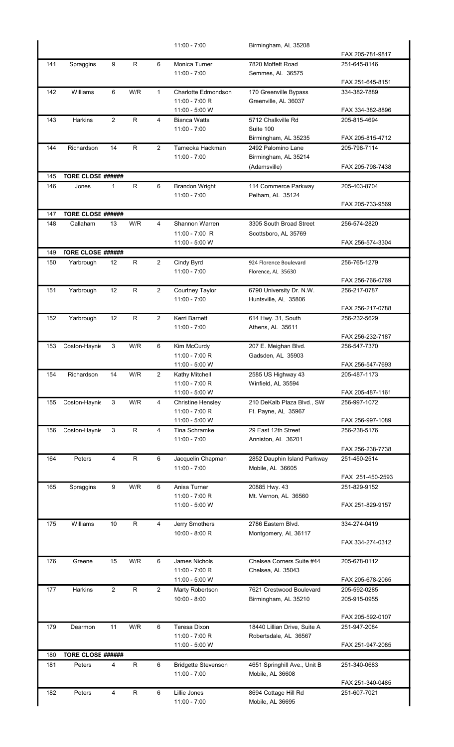|            |                                      |                |              |                | $11:00 - 7:00$                      | Birmingham, AL 35208                            |                  |
|------------|--------------------------------------|----------------|--------------|----------------|-------------------------------------|-------------------------------------------------|------------------|
|            |                                      |                |              |                |                                     |                                                 | FAX 205-781-9817 |
| 141        | Spraggins                            | 9              | $\mathsf R$  | 6              | Monica Turner<br>$11:00 - 7:00$     | 7820 Moffett Road<br>Semmes, AL 36575           | 251-645-8146     |
|            |                                      |                |              |                |                                     |                                                 | FAX 251-645-8151 |
| 142        | Williams                             | 6              | W/R          | $\mathbf{1}$   | Charlotte Edmondson                 | 170 Greenville Bypass                           | 334-382-7889     |
|            |                                      |                |              |                | $11:00 - 7:00 R$                    | Greenville, AL 36037                            |                  |
|            |                                      |                |              |                | 11:00 - 5:00 W                      |                                                 | FAX 334-382-8896 |
| 143        | Harkins                              | 2              | R            | 4              | <b>Bianca Watts</b>                 | 5712 Chalkville Rd                              | 205-815-4694     |
|            |                                      |                |              |                | $11:00 - 7:00$                      | Suite 100<br>Birmingham, AL 35235               | FAX 205-815-4712 |
| 144        | Richardson                           | 14             | $\mathsf{R}$ | $\overline{2}$ | Tameoka Hackman                     | 2492 Palomino Lane                              | 205-798-7114     |
|            |                                      |                |              |                | $11:00 - 7:00$                      | Birmingham, AL 35214                            |                  |
|            |                                      |                |              |                |                                     | (Adamsville)                                    | FAX 205-798-7438 |
| 145        | <b>TORE CLOSE ######</b>             |                |              |                |                                     |                                                 |                  |
| 146        | Jones                                | 1              | R            | 6              | <b>Brandon Wright</b>               | 114 Commerce Parkway                            | 205-403-8704     |
|            |                                      |                |              |                | $11:00 - 7:00$                      | Pelham, AL 35124                                |                  |
|            |                                      |                |              |                |                                     |                                                 | FAX 205-733-9569 |
| 147<br>148 | <b>TORE CLOSE ######</b><br>Callaham | 13             | W/R          | 4              | Shannon Warren                      | 3305 South Broad Street                         | 256-574-2820     |
|            |                                      |                |              |                | 11:00 - 7:00 R                      | Scottsboro, AL 35769                            |                  |
|            |                                      |                |              |                | 11:00 - 5:00 W                      |                                                 | FAX 256-574-3304 |
| 149        | <b>TORE CLOSE ######</b>             |                |              |                |                                     |                                                 |                  |
| 150        | Yarbrough                            | 12             | R            | $\overline{2}$ | Cindy Byrd                          | 924 Florence Boulevard                          | 256-765-1279     |
|            |                                      |                |              |                | $11:00 - 7:00$                      | Florence, AL 35630                              |                  |
|            |                                      |                |              |                |                                     |                                                 | FAX 256-766-0769 |
| 151        | Yarbrough                            | 12             | $\mathsf{R}$ | $\overline{2}$ | Courtney Taylor                     | 6790 University Dr. N.W.                        | 256-217-0787     |
|            |                                      |                |              |                | $11:00 - 7:00$                      | Huntsville, AL 35806                            | FAX 256-217-0788 |
| 152        | Yarbrough                            | 12             | R            | 2              | Kerri Barnett                       | 614 Hwy. 31, South                              | 256-232-5629     |
|            |                                      |                |              |                | $11:00 - 7:00$                      | Athens, AL 35611                                |                  |
|            |                                      |                |              |                |                                     |                                                 | FAX 256-232-7187 |
| 153        | Coston-Haynie                        | 3              | W/R          | 6              | Kim McCurdy                         | 207 E. Meighan Blvd.                            | 256-547-7370     |
|            |                                      |                |              |                | $11:00 - 7:00 R$                    | Gadsden, AL 35903                               |                  |
|            |                                      |                |              |                | 11:00 - 5:00 W                      |                                                 | FAX 256-547-7693 |
| 154        | Richardson                           | 14             | W/R          | 2              | Kathy Mitchell                      | 2585 US Highway 43                              | 205-487-1173     |
|            |                                      |                |              |                | 11:00 - 7:00 R<br>11:00 - 5:00 W    | Winfield, AL 35594                              | FAX 205-487-1161 |
| 155        | Coston-Haynie                        | 3              | W/R          | 4              | <b>Christine Hensley</b>            | 210 DeKalb Plaza Blvd., SW                      | 256-997-1072     |
|            |                                      |                |              |                | 11:00 - 7:00 R                      | Ft. Payne, AL 35967                             |                  |
|            |                                      |                |              |                | 11:00 - 5:00 W                      |                                                 | FAX 256-997-1089 |
| 156        | Coston-Haynie                        | 3              | $\mathsf R$  | $\overline{4}$ | Tina Schramke                       | 29 East 12th Street                             | 256-238-5176     |
|            |                                      |                |              |                | $11:00 - 7:00$                      | Anniston, AL 36201                              |                  |
|            |                                      |                |              |                |                                     |                                                 | FAX 256-238-7738 |
| 164        | Peters                               | 4              | R            | 6              | Jacquelin Chapman<br>$11:00 - 7:00$ | 2852 Dauphin Island Parkway<br>Mobile, AL 36605 | 251-450-2514     |
|            |                                      |                |              |                |                                     |                                                 | FAX 251-450-2593 |
| 165        | Spraggins                            | 9              | W/R          | 6              | Anisa Turner                        | 20885 Hwy. 43                                   | 251-829-9152     |
|            |                                      |                |              |                | $11:00 - 7:00 R$                    | Mt. Vernon, AL 36560                            |                  |
|            |                                      |                |              |                | 11:00 - 5:00 W                      |                                                 | FAX 251-829-9157 |
|            |                                      |                |              |                |                                     |                                                 |                  |
| 175        | Williams                             | 10             | $\mathsf R$  | 4              | Jerry Smothers                      | 2786 Eastern Blvd.                              | 334-274-0419     |
|            |                                      |                |              |                | 10:00 - 8:00 R                      | Montgomery, AL 36117                            | FAX 334-274-0312 |
|            |                                      |                |              |                |                                     |                                                 |                  |
| 176        | Greene                               | 15             | W/R          | 6              | <b>James Nichols</b>                | Chelsea Corners Suite #44                       | 205-678-0112     |
|            |                                      |                |              |                | 11:00 - 7:00 R                      | Chelsea, AL 35043                               |                  |
|            |                                      |                |              |                | 11:00 - 5:00 W                      |                                                 | FAX 205-678-2065 |
| 177        | Harkins                              | 2              | $\mathsf R$  | $\overline{2}$ | Marty Robertson                     | 7621 Crestwood Boulevard                        | 205-592-0285     |
|            |                                      |                |              |                | $10:00 - 8:00$                      | Birmingham, AL 35210                            | 205-915-0955     |
|            |                                      |                |              |                |                                     |                                                 | FAX 205-592-0107 |
| 179        | Dearmon                              | 11             | W/R          | 6              | Teresa Dixon                        | 18440 Lillian Drive, Suite A                    | 251-947-2084     |
|            |                                      |                |              |                | 11:00 - 7:00 R                      | Robertsdale, AL 36567                           |                  |
|            |                                      |                |              |                | 11:00 - 5:00 W                      |                                                 | FAX 251-947-2085 |
| 180        | <b>TORE CLOSE ######</b>             |                |              |                |                                     |                                                 |                  |
| 181        | Peters                               | 4              | R            | 6              | <b>Bridgette Stevenson</b>          | 4651 Springhill Ave., Unit B                    | 251-340-0683     |
|            |                                      |                |              |                | $11:00 - 7:00$                      | Mobile, AL 36608                                |                  |
|            |                                      |                |              |                |                                     |                                                 | FAX 251-340-0485 |
| 182        | Peters                               | $\overline{4}$ | R            | 6              | Lillie Jones                        | 8694 Cottage Hill Rd                            | 251-607-7021     |
|            |                                      |                |              |                | $11:00 - 7:00$                      | Mobile, AL 36695                                |                  |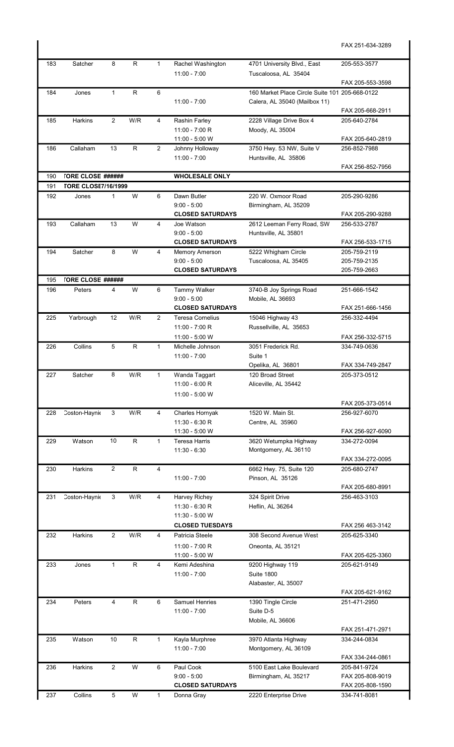|            |                                    |                |              |                |                                          |                                                    | FAX 251-634-3289                 |
|------------|------------------------------------|----------------|--------------|----------------|------------------------------------------|----------------------------------------------------|----------------------------------|
| 183        | Satcher                            | 8              | $\mathsf{R}$ | $\mathbf{1}$   | Rachel Washington                        | 4701 University Blvd., East                        | 205-553-3577                     |
|            |                                    |                |              |                | $11:00 - 7:00$                           | Tuscaloosa, AL 35404                               |                                  |
|            |                                    |                |              |                |                                          |                                                    | FAX 205-553-3598                 |
| 184        | Jones                              | $\mathbf{1}$   | R            | 6              |                                          | 160 Market Place Circle Suite 101 205-668-0122     |                                  |
|            |                                    |                |              |                | $11:00 - 7:00$                           | Calera, AL 35040 (Mailbox 11)                      | FAX 205-668-2911                 |
| 185        | <b>Harkins</b>                     | $\overline{2}$ | W/R          | 4              | Rashin Farley                            | 2228 Village Drive Box 4                           | 205-640-2784                     |
|            |                                    |                |              |                | 11:00 - 7:00 R                           | Moody, AL 35004                                    |                                  |
|            |                                    |                |              |                | 11:00 - 5:00 W                           |                                                    | FAX 205-640-2819                 |
| 186        | Callaham                           | 13             | $\mathsf R$  | $\overline{2}$ | Johnny Holloway                          | 3750 Hwy. 53 NW, Suite V                           | 256-852-7988                     |
|            |                                    |                |              |                | $11:00 - 7:00$                           | Huntsville, AL 35806                               | FAX 256-852-7956                 |
| 190        | <b>TORE CLOSE ######</b>           |                |              |                | <b>WHOLESALE ONLY</b>                    |                                                    |                                  |
| 191        | <b>TORE CLOSE7/16/1999</b>         |                |              |                |                                          |                                                    |                                  |
| 192        | Jones                              | $\mathbf{1}$   | W            | 6              | Dawn Butler                              | 220 W. Oxmoor Road                                 | 205-290-9286                     |
|            |                                    |                |              |                | $9:00 - 5:00$                            | Birmingham, AL 35209                               |                                  |
|            | Callaham                           |                |              |                | <b>CLOSED SATURDAYS</b>                  |                                                    | FAX 205-290-9288                 |
| 193        |                                    | 13             | W            | 4              | Joe Watson<br>$9:00 - 5:00$              | 2612 Leeman Ferry Road, SW<br>Huntsville, AL 35801 | 256-533-2787                     |
|            |                                    |                |              |                | <b>CLOSED SATURDAYS</b>                  |                                                    | FAX 256-533-1715                 |
| 194        | Satcher                            | 8              | W            | 4              | Memory Amerson                           | 5222 Whigham Circle                                | 205-759-2119                     |
|            |                                    |                |              |                | $9:00 - 5:00$                            | Tuscaloosa, AL 35405                               | 205-759-2135                     |
|            |                                    |                |              |                | <b>CLOSED SATURDAYS</b>                  |                                                    | 205-759-2663                     |
| 195<br>196 | <b>TORE CLOSE ######</b><br>Peters | 4              | W            | 6              | Tammy Walker                             |                                                    | 251-666-1542                     |
|            |                                    |                |              |                | $9:00 - 5:00$                            | 3740-B Joy Springs Road<br>Mobile, AL 36693        |                                  |
|            |                                    |                |              |                | <b>CLOSED SATURDAYS</b>                  |                                                    | FAX 251-666-1456                 |
| 225        | Yarbrough                          | 12             | W/R          | $\overline{2}$ | <b>Teresa Cornelius</b>                  | 15046 Highway 43                                   | 256-332-4494                     |
|            |                                    |                |              |                | 11:00 - 7:00 R                           | Russellville, AL 35653                             |                                  |
|            |                                    |                |              |                | 11:00 - 5:00 W                           |                                                    | FAX 256-332-5715                 |
| 226        | Collins                            | 5              | $\mathsf{R}$ | $\mathbf{1}$   | Michelle Johnson<br>$11:00 - 7:00$       | 3051 Frederick Rd.<br>Suite 1                      | 334-749-0636                     |
|            |                                    |                |              |                |                                          | Opelika, AL 36801                                  | FAX 334-749-2847                 |
| 227        | Satcher                            | 8              | W/R          | 1              | Wanda Taggart                            | 120 Broad Street                                   | 205-373-0512                     |
|            |                                    |                |              |                | $11:00 - 6:00 R$                         | Aliceville, AL 35442                               |                                  |
|            |                                    |                |              |                | 11:00 - 5:00 W                           |                                                    |                                  |
|            |                                    | 3              | W/R          | 4              |                                          | 1520 W. Main St.                                   | FAX 205-373-0514<br>256-927-6070 |
| 228        | Coston-Haynie                      |                |              |                | Charles Hornyak<br>$11:30 - 6:30 R$      | Centre, AL 35960                                   |                                  |
|            |                                    |                |              |                | 11:30 - 5:00 W                           |                                                    | FAX 256-927-6090                 |
| 229        | Watson                             | 10             | $\mathsf R$  | $\mathbf{1}$   | <b>Teresa Harris</b>                     | 3620 Wetumpka Highway                              | 334-272-0094                     |
|            |                                    |                |              |                | $11:30 - 6:30$                           | Montgomery, AL 36110                               |                                  |
| 230        | Harkins                            | $\overline{2}$ | R            | $\overline{4}$ |                                          | 6662 Hwy. 75, Suite 120                            | FAX 334-272-0095<br>205-680-2747 |
|            |                                    |                |              |                | $11:00 - 7:00$                           | Pinson, AL 35126                                   |                                  |
|            |                                    |                |              |                |                                          |                                                    | FAX 205-680-8991                 |
| 231        | Coston-Haynie                      | 3              | W/R          | 4              | Harvey Richey                            | 324 Spirit Drive                                   | 256-463-3103                     |
|            |                                    |                |              |                | 11:30 - 6:30 R                           | Heflin, AL 36264                                   |                                  |
|            |                                    |                |              |                | 11:30 - 5:00 W<br><b>CLOSED TUESDAYS</b> |                                                    |                                  |
| 232        | Harkins                            | $\overline{2}$ | W/R          | 4              | Patricia Steele                          | 308 Second Avenue West                             | FAX 256 463-3142<br>205-625-3340 |
|            |                                    |                |              |                | 11:00 - 7:00 R                           | Oneonta, AL 35121                                  |                                  |
|            |                                    |                |              |                | 11:00 - 5:00 W                           |                                                    | FAX 205-625-3360                 |
| 233        | Jones                              | $\mathbf{1}$   | $\mathsf R$  | 4              | Kemi Adeshina                            | 9200 Highway 119                                   | 205-621-9149                     |
|            |                                    |                |              |                | $11:00 - 7:00$                           | <b>Suite 1800</b>                                  |                                  |
|            |                                    |                |              |                |                                          | Alabaster, AL 35007                                | FAX 205-621-9162                 |
| 234        | Peters                             | 4              | $\mathsf R$  | 6              | Samuel Henries                           | 1390 Tingle Circle                                 | 251-471-2950                     |
|            |                                    |                |              |                | $11:00 - 7:00$                           | Suite D-5                                          |                                  |
|            |                                    |                |              |                |                                          | Mobile, AL 36606                                   |                                  |
|            |                                    |                |              |                |                                          |                                                    | FAX 251-471-2971                 |
| 235        | Watson                             | 10             | $\mathsf{R}$ | $\mathbf{1}$   | Kayla Murphree                           | 3970 Atlanta Highway                               | 334-244-0834                     |
|            |                                    |                |              |                | $11:00 - 7:00$                           | Montgomery, AL 36109                               | FAX 334-244-0861                 |
| 236        | <b>Harkins</b>                     | $\overline{2}$ | W            | 6              | Paul Cook                                | 5100 East Lake Boulevard                           | 205-841-9724                     |
|            |                                    |                |              |                | $9:00 - 5:00$                            | Birmingham, AL 35217                               | FAX 205-808-9019                 |
|            |                                    |                |              |                | <b>CLOSED SATURDAYS</b>                  |                                                    | FAX 205-808-1590                 |
| 237        | Collins                            | 5              | W            | $\mathbf{1}$   | Donna Gray                               | 2220 Enterprise Drive                              | 334-741-8081                     |